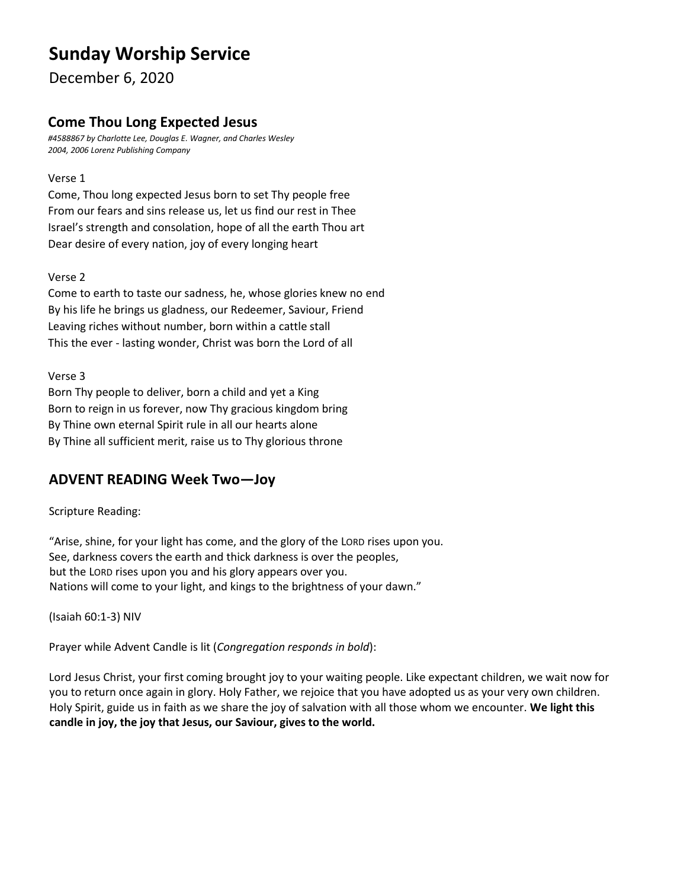# **Sunday Worship Service**

December 6, 2020

# **Come Thou Long Expected Jesus**

*#4588867 by Charlotte Lee, Douglas E. Wagner, and Charles Wesley 2004, 2006 Lorenz Publishing Company*

#### Verse 1

Come, Thou long expected Jesus born to set Thy people free From our fears and sins release us, let us find our rest in Thee Israel's strength and consolation, hope of all the earth Thou art Dear desire of every nation, joy of every longing heart

#### Verse 2

Come to earth to taste our sadness, he, whose glories knew no end By his life he brings us gladness, our Redeemer, Saviour, Friend Leaving riches without number, born within a cattle stall This the ever - lasting wonder, Christ was born the Lord of all

#### Verse 3

Born Thy people to deliver, born a child and yet a King Born to reign in us forever, now Thy gracious kingdom bring By Thine own eternal Spirit rule in all our hearts alone By Thine all sufficient merit, raise us to Thy glorious throne

## **ADVENT READING Week Two—Joy**

Scripture Reading:

"Arise, shine, for your light has come, and the glory of the LORD rises upon you. See, darkness covers the earth and thick darkness is over the peoples, but the LORD rises upon you and his glory appears over you. Nations will come to your light, and kings to the brightness of your dawn."

(Isaiah 60:1-3) NIV

Prayer while Advent Candle is lit (*Congregation responds in bold*):

Lord Jesus Christ, your first coming brought joy to your waiting people. Like expectant children, we wait now for you to return once again in glory. Holy Father, we rejoice that you have adopted us as your very own children. Holy Spirit, guide us in faith as we share the joy of salvation with all those whom we encounter. **We light this candle in joy, the joy that Jesus, our Saviour, gives to the world.**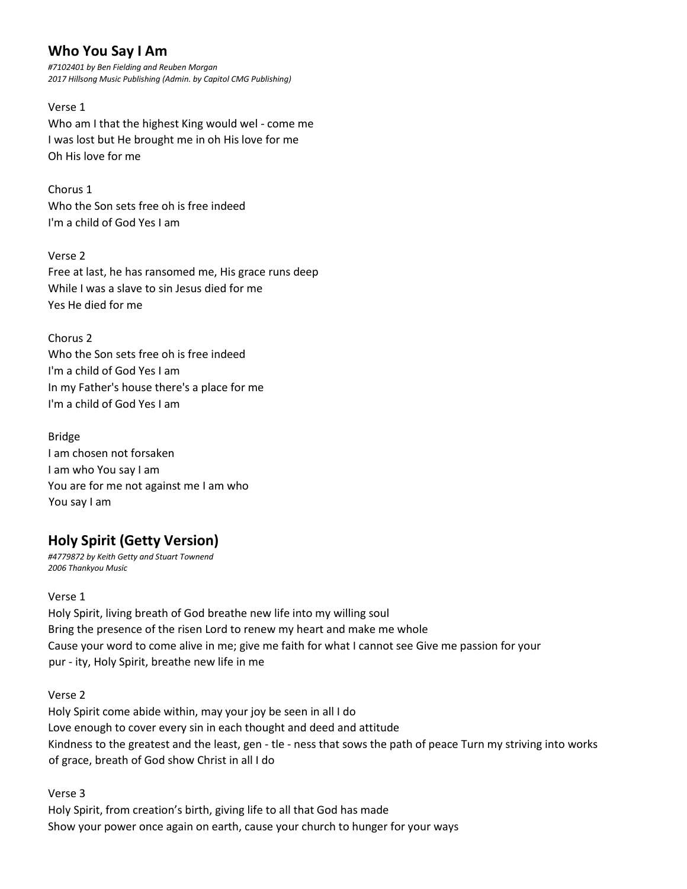# **Who You Say I Am**

*#7102401 by Ben Fielding and Reuben Morgan 2017 Hillsong Music Publishing (Admin. by Capitol CMG Publishing)*

Verse 1 Who am I that the highest King would wel - come me I was lost but He brought me in oh His love for me Oh His love for me

Chorus 1 Who the Son sets free oh is free indeed I'm a child of God Yes I am

Verse 2 Free at last, he has ransomed me, His grace runs deep While I was a slave to sin Jesus died for me Yes He died for me

Chorus 2 Who the Son sets free oh is free indeed I'm a child of God Yes I am In my Father's house there's a place for me I'm a child of God Yes I am

Bridge I am chosen not forsaken I am who You say I am You are for me not against me I am who You say I am

# **Holy Spirit (Getty Version)**

*#4779872 by Keith Getty and Stuart Townend 2006 Thankyou Music*

Verse 1

Holy Spirit, living breath of God breathe new life into my willing soul Bring the presence of the risen Lord to renew my heart and make me whole Cause your word to come alive in me; give me faith for what I cannot see Give me passion for your pur - ity, Holy Spirit, breathe new life in me

Verse 2

Holy Spirit come abide within, may your joy be seen in all I do Love enough to cover every sin in each thought and deed and attitude Kindness to the greatest and the least, gen - tle - ness that sows the path of peace Turn my striving into works of grace, breath of God show Christ in all I do

Verse 3 Holy Spirit, from creation's birth, giving life to all that God has made Show your power once again on earth, cause your church to hunger for your ways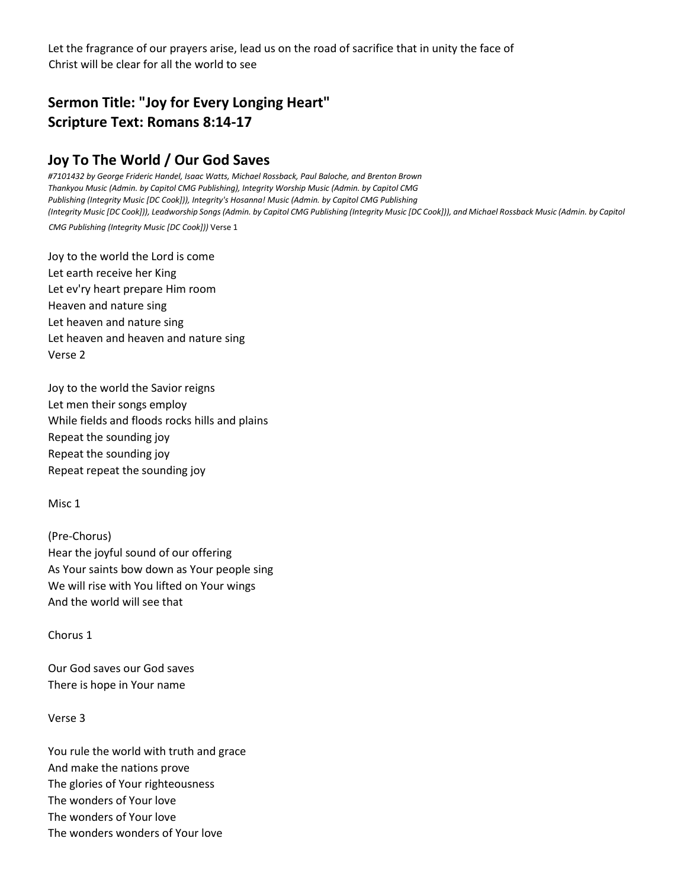Let the fragrance of our prayers arise, lead us on the road of sacrifice that in unity the face of Christ will be clear for all the world to see

# **Sermon Title: "Joy for Every Longing Heart" Scripture Text: Romans 8:14-17**

### **Joy To The World / Our God Saves**

*#7101432 by George Frideric Handel, Isaac Watts, Michael Rossback, Paul Baloche, and Brenton Brown Thankyou Music (Admin. by Capitol CMG Publishing), Integrity Worship Music (Admin. by Capitol CMG Publishing (Integrity Music [DC Cook])), Integrity's Hosanna! Music (Admin. by Capitol CMG Publishing (Integrity Music [DC Cook])), Leadworship Songs (Admin. by Capitol CMG Publishing (Integrity Music [DC Cook])), and Michael Rossback Music (Admin. by Capitol CMG Publishing (Integrity Music [DC Cook]))* Verse 1

Joy to the world the Lord is come Let earth receive her King Let ev'ry heart prepare Him room Heaven and nature sing Let heaven and nature sing Let heaven and heaven and nature sing Verse 2

Joy to the world the Savior reigns Let men their songs employ While fields and floods rocks hills and plains Repeat the sounding joy Repeat the sounding joy Repeat repeat the sounding joy

Misc 1

(Pre-Chorus) Hear the joyful sound of our offering As Your saints bow down as Your people sing We will rise with You lifted on Your wings And the world will see that

Chorus 1

Our God saves our God saves There is hope in Your name

Verse 3

You rule the world with truth and grace And make the nations prove The glories of Your righteousness The wonders of Your love The wonders of Your love The wonders wonders of Your love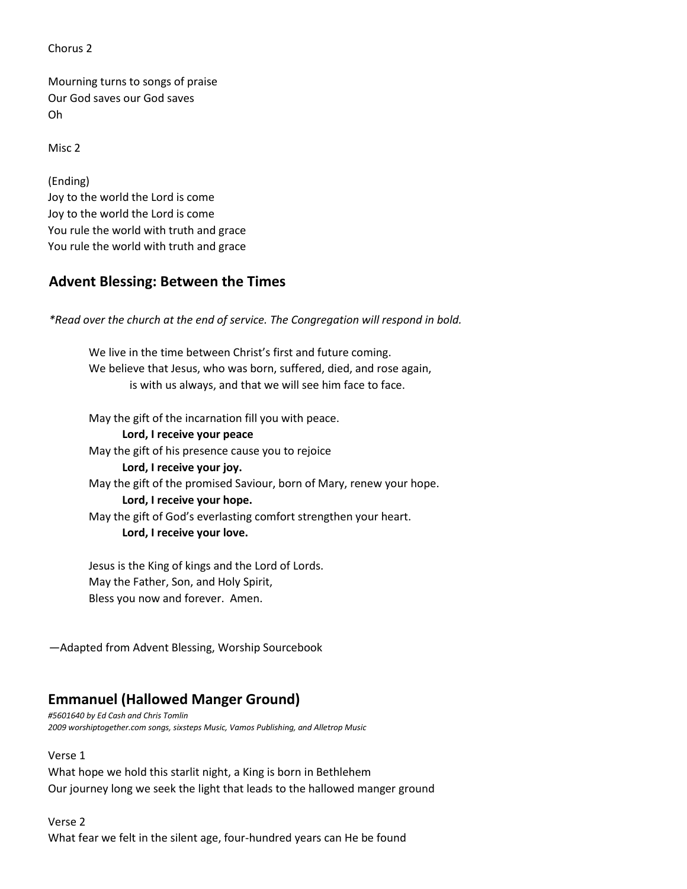#### Chorus 2

Mourning turns to songs of praise Our God saves our God saves Oh

Misc 2

(Ending) Joy to the world the Lord is come Joy to the world the Lord is come You rule the world with truth and grace You rule the world with truth and grace

### **Advent Blessing: Between the Times**

*\*Read over the church at the end of service. The Congregation will respond in bold.*

We live in the time between Christ's first and future coming. We believe that Jesus, who was born, suffered, died, and rose again, is with us always, and that we will see him face to face. May the gift of the incarnation fill you with peace. **Lord, I receive your peace** May the gift of his presence cause you to rejoice **Lord, I receive your joy.** May the gift of the promised Saviour, born of Mary, renew your hope. **Lord, I receive your hope.** May the gift of God's everlasting comfort strengthen your heart. **Lord, I receive your love.**

Jesus is the King of kings and the Lord of Lords. May the Father, Son, and Holy Spirit, Bless you now and forever. Amen.

—Adapted from Advent Blessing, Worship Sourcebook

### **Emmanuel (Hallowed Manger Ground)**

*#5601640 by Ed Cash and Chris Tomlin 2009 worshiptogether.com songs, sixsteps Music, Vamos Publishing, and Alletrop Music*

#### Verse 1

What hope we hold this starlit night, a King is born in Bethlehem Our journey long we seek the light that leads to the hallowed manger ground

Verse 2 What fear we felt in the silent age, four-hundred years can He be found